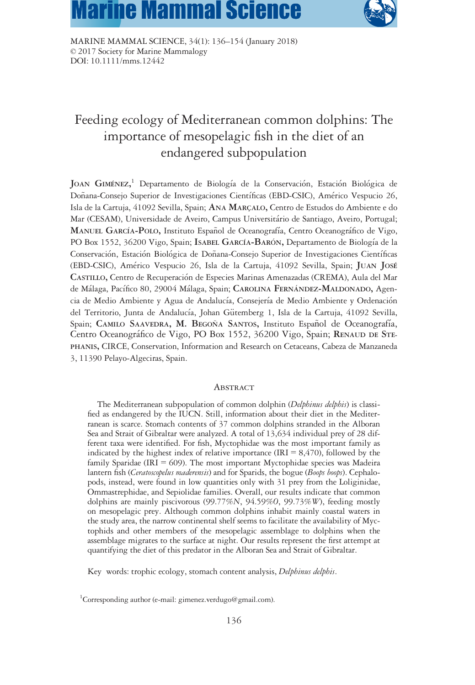# **Marine Mammal Science**



MARINE MAMMAL SCIENCE, 34(1): 136–154 (January 2018) © 2017 Society for Marine Mammalogy DOI: 10.1111/mms.12442

## Feeding ecology of Mediterranean common dolphins: The importance of mesopelagic fish in the diet of an endangered subpopulation

JOAN GIMÉNEZ,<sup>1</sup> Departamento de Biología de la Conservación, Estación Biológica de Doñana-Consejo Superior de Investigaciones Científicas (EBD-CSIC), Américo Vespucio 26, Isla de la Cartuja, 41092 Sevilla, Spain; ANA MARCALO, Centro de Estudos do Ambiente e do Mar (CESAM), Universidade de Aveiro, Campus Universitario de Santiago, Aveiro, Portugal; MANUEL GARCÍA-POLO, Instituto Español de Oceanografía, Centro Oceanográfico de Vigo, PO Box 1552, 36200 Vigo, Spain; ISABEL GARCÍA-BARÓN, Departamento de Biología de la Conservación, Estación Biológica de Doñana-Consejo Superior de Investigaciones Científicas (EBD-CSIC), Americo Vespucio 26, Isla de la Cartuja, 41092 Sevilla, Spain; JUAN JOSE CASTILLO, Centro de Recuperacion de Especies Marinas Amenazadas (CREMA), Aula del Mar de Málaga, Pacífico 80, 29004 Málaga, Spain; CAROLINA FERNÁNDEZ-MALDONADO, Agencia de Medio Ambiente y Agua de Andalucía, Consejería de Medio Ambiente y Ordenación del Territorio, Junta de Andalucía, Johan Gütemberg 1, Isla de la Cartuja, 41092 Sevilla, Spain; CAMILO SAAVEDRA, M. BEGOÑA SANTOS, Instituto Español de Oceanografía, Centro Oceanografico de Vigo, PO Box 1552, 36200 Vigo, Spain; RENAUD DE STE-PHANIS, CIRCE, Conservation, Information and Research on Cetaceans, Cabeza de Manzaneda 3, 11390 Pelayo-Algeciras, Spain.

#### **ABSTRACT**

The Mediterranean subpopulation of common dolphin (Delphinus delphis) is classified as endangered by the IUCN. Still, information about their diet in the Mediterranean is scarce. Stomach contents of 37 common dolphins stranded in the Alboran Sea and Strait of Gibraltar were analyzed. A total of 13,634 individual prey of 28 different taxa were identified. For fish, Myctophidae was the most important family as indicated by the highest index of relative importance (IRI  $= 8,470$ ), followed by the family Sparidae (IRI =  $609$ ). The most important Myctophidae species was Madeira lantern fish (Ceratoscopelus maderensis) and for Sparids, the bogue (Boops boops). Cephalopods, instead, were found in low quantities only with 31 prey from the Loliginidae, Ommastrephidae, and Sepiolidae families. Overall, our results indicate that common dolphins are mainly piscivorous (99.77%N, 94.59%O, 99.73%W), feeding mostly on mesopelagic prey. Although common dolphins inhabit mainly coastal waters in the study area, the narrow continental shelf seems to facilitate the availability of Myctophids and other members of the mesopelagic assemblage to dolphins when the assemblage migrates to the surface at night. Our results represent the first attempt at quantifying the diet of this predator in the Alboran Sea and Strait of Gibraltar.

Key words: trophic ecology, stomach content analysis, Delphinus delphis.

<sup>1</sup>Corresponding author (e-mail: [gimenez.verdugo@gmail.com](mailto:gimenez.verdugo@gmail.com)).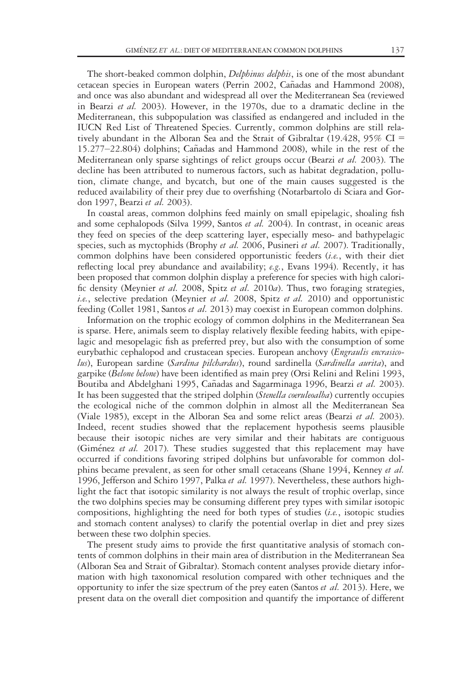The short-beaked common dolphin, *Delphinus delphis*, is one of the most abundant cetacean species in European waters (Perrin 2002, Cañadas and Hammond 2008), and once was also abundant and widespread all over the Mediterranean Sea (reviewed in Bearzi et al. 2003). However, in the 1970s, due to a dramatic decline in the Mediterranean, this subpopulation was classified as endangered and included in the IUCN Red List of Threatened Species. Currently, common dolphins are still relatively abundant in the Alboran Sea and the Strait of Gibraltar (19.428, 95% CI =  $15.277 - 22.804$ ) dolphins; Ca $\tilde{n}$ adas and Hammond 2008), while in the rest of the Mediterranean only sparse sightings of relict groups occur (Bearzi et al. 2003). The decline has been attributed to numerous factors, such as habitat degradation, pollution, climate change, and bycatch, but one of the main causes suggested is the reduced availability of their prey due to overfishing (Notarbartolo di Sciara and Gordon 1997, Bearzi et al. 2003).

In coastal areas, common dolphins feed mainly on small epipelagic, shoaling fish and some cephalopods (Silva 1999, Santos et al. 2004). In contrast, in oceanic areas they feed on species of the deep scattering layer, especially meso- and bathypelagic species, such as myctophids (Brophy et al. 2006, Pusineri et al. 2007). Traditionally, common dolphins have been considered opportunistic feeders (i.e., with their diet reflecting local prey abundance and availability; e.g., Evans 1994). Recently, it has been proposed that common dolphin display a preference for species with high calorific density (Meynier et al. 2008, Spitz et al. 2010a). Thus, two foraging strategies, i.e., selective predation (Meynier et al. 2008, Spitz et al. 2010) and opportunistic feeding (Collet 1981, Santos et al. 2013) may coexist in European common dolphins.

Information on the trophic ecology of common dolphins in the Mediterranean Sea is sparse. Here, animals seem to display relatively flexible feeding habits, with epipelagic and mesopelagic fish as preferred prey, but also with the consumption of some eurybathic cephalopod and crustacean species. European anchovy (Engraulis encrasicolus), European sardine (Sardina pilchardus), round sardinella (Sardinella aurita), and garpike (Belone belone) have been identified as main prey (Orsi Relini and Relini 1993, Boutiba and Abdelghani 1995, Cañadas and Sagarminaga 1996, Bearzi et al. 2003). It has been suggested that the striped dolphin (Stenella coeruleoalba) currently occupies the ecological niche of the common dolphin in almost all the Mediterranean Sea (Viale 1985), except in the Alboran Sea and some relict areas (Bearzi et al. 2003). Indeed, recent studies showed that the replacement hypothesis seems plausible because their isotopic niches are very similar and their habitats are contiguous (Gimenez et al. 2017). These studies suggested that this replacement may have occurred if conditions favoring striped dolphins but unfavorable for common dolphins became prevalent, as seen for other small cetaceans (Shane 1994, Kenney et al. 1996, Jefferson and Schiro 1997, Palka et al. 1997). Nevertheless, these authors highlight the fact that isotopic similarity is not always the result of trophic overlap, since the two dolphins species may be consuming different prey types with similar isotopic compositions, highlighting the need for both types of studies (i.e., isotopic studies and stomach content analyses) to clarify the potential overlap in diet and prey sizes between these two dolphin species.

The present study aims to provide the first quantitative analysis of stomach contents of common dolphins in their main area of distribution in the Mediterranean Sea (Alboran Sea and Strait of Gibraltar). Stomach content analyses provide dietary information with high taxonomical resolution compared with other techniques and the opportunity to infer the size spectrum of the prey eaten (Santos et al. 2013). Here, we present data on the overall diet composition and quantify the importance of different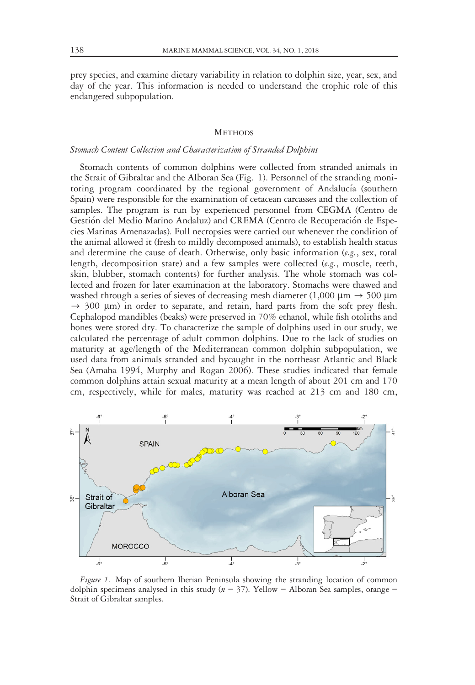prey species, and examine dietary variability in relation to dolphin size, year, sex, and day of the year. This information is needed to understand the trophic role of this endangered subpopulation.

#### **METHODS**

#### Stomach Content Collection and Characterization of Stranded Dolphins

Stomach contents of common dolphins were collected from stranded animals in the Strait of Gibraltar and the Alboran Sea (Fig. 1). Personnel of the stranding monitoring program coordinated by the regional government of Andalucía (southern Spain) were responsible for the examination of cetacean carcasses and the collection of samples. The program is run by experienced personnel from CEGMA (Centro de Gestión del Medio Marino Andaluz) and CREMA (Centro de Recuperación de Especies Marinas Amenazadas). Full necropsies were carried out whenever the condition of the animal allowed it (fresh to mildly decomposed animals), to establish health status and determine the cause of death. Otherwise, only basic information ( $e.g.,$  sex, total length, decomposition state) and a few samples were collected (e.g., muscle, teeth, skin, blubber, stomach contents) for further analysis. The whole stomach was collected and frozen for later examination at the laboratory. Stomachs were thawed and washed through a series of sieves of decreasing mesh diameter (1,000  $\mu$ m  $\rightarrow$  500  $\mu$ m  $\rightarrow$  300 µm) in order to separate, and retain, hard parts from the soft prey flesh. Cephalopod mandibles (beaks) were preserved in 70% ethanol, while fish otoliths and bones were stored dry. To characterize the sample of dolphins used in our study, we calculated the percentage of adult common dolphins. Due to the lack of studies on maturity at age/length of the Mediterranean common dolphin subpopulation, we used data from animals stranded and bycaught in the northeast Atlantic and Black Sea (Amaha 1994, Murphy and Rogan 2006). These studies indicated that female common dolphins attain sexual maturity at a mean length of about 201 cm and 170 cm, respectively, while for males, maturity was reached at 213 cm and 180 cm,



Figure 1. Map of southern Iberian Peninsula showing the stranding location of common dolphin specimens analysed in this study ( $n = 37$ ). Yellow = Alboran Sea samples, orange = Strait of Gibraltar samples.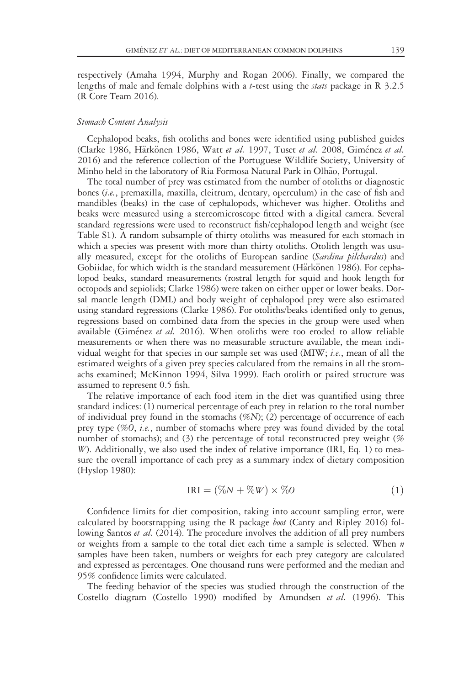respectively (Amaha 1994, Murphy and Rogan 2006). Finally, we compared the lengths of male and female dolphins with a *t*-test using the *stats* package in R 3.2.5 (R Core Team 2016).

#### Stomach Content Analysis

Cephalopod beaks, fish otoliths and bones were identified using published guides (Clarke 1986, Härkönen 1986, Watt et al. 1997, Tuset et al. 2008, Giménez et al. 2016) and the reference collection of the Portuguese Wildlife Society, University of Minho held in the laboratory of Ria Formosa Natural Park in Olhão, Portugal.

The total number of prey was estimated from the number of otoliths or diagnostic bones (i.e., premaxilla, maxilla, cleitrum, dentary, operculum) in the case of fish and mandibles (beaks) in the case of cephalopods, whichever was higher. Otoliths and beaks were measured using a stereomicroscope fitted with a digital camera. Several standard regressions were used to reconstruct fish/cephalopod length and weight (see Table S1). A random subsample of thirty otoliths was measured for each stomach in which a species was present with more than thirty otoliths. Otolith length was usually measured, except for the otoliths of European sardine (Sardina pilchardus) and Gobiidae, for which width is the standard measurement (Härkönen 1986). For cephalopod beaks, standard measurements (rostral length for squid and hook length for octopods and sepiolids; Clarke 1986) were taken on either upper or lower beaks. Dorsal mantle length (DML) and body weight of cephalopod prey were also estimated using standard regressions (Clarke 1986). For otoliths/beaks identified only to genus, regressions based on combined data from the species in the group were used when available (Giménez et al. 2016). When otoliths were too eroded to allow reliable measurements or when there was no measurable structure available, the mean individual weight for that species in our sample set was used  $(MIW; i.e.,$  mean of all the estimated weights of a given prey species calculated from the remains in all the stomachs examined; McKinnon 1994, Silva 1999). Each otolith or paired structure was assumed to represent 0.5 fish.

The relative importance of each food item in the diet was quantified using three standard indices: (1) numerical percentage of each prey in relation to the total number of individual prey found in the stomachs  $(\%N)$ ; (2) percentage of occurrence of each prey type (%0, i.e., number of stomachs where prey was found divided by the total number of stomachs); and (3) the percentage of total reconstructed prey weight (% W). Additionally, we also used the index of relative importance (IRI, Eq. 1) to measure the overall importance of each prey as a summary index of dietary composition (Hyslop 1980):

$$
IRI = (\%N + \%W) \times \%O \tag{1}
$$

Confidence limits for diet composition, taking into account sampling error, were calculated by bootstrapping using the R package *boot* (Canty and Ripley 2016) following Santos et al. (2014). The procedure involves the addition of all prey numbers or weights from a sample to the total diet each time a sample is selected. When  $n$ samples have been taken, numbers or weights for each prey category are calculated and expressed as percentages. One thousand runs were performed and the median and 95% confidence limits were calculated.

The feeding behavior of the species was studied through the construction of the Costello diagram (Costello 1990) modified by Amundsen et al. (1996). This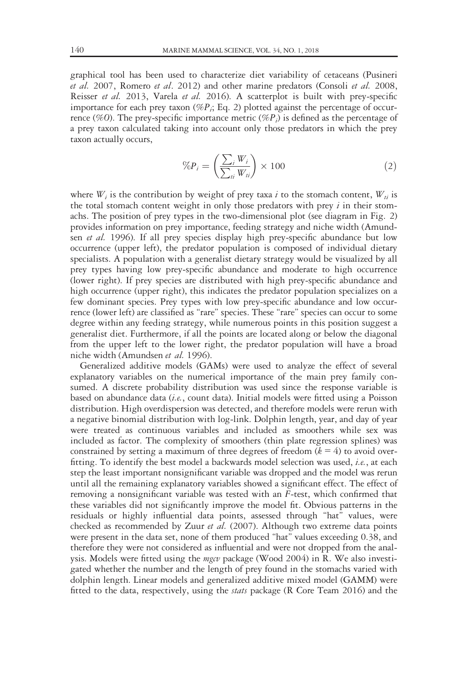graphical tool has been used to characterize diet variability of cetaceans (Pusineri et al. 2007, Romero et al. 2012) and other marine predators (Consoli et al. 2008, Reisser et al. 2013, Varela et al. 2016). A scatterplot is built with prey-specific importance for each prey taxon (% $P_i$ ; Eq. 2) plotted against the percentage of occurrence (%0). The prey-specific importance metric (% $P_i$ ) is defined as the percentage of a prey taxon calculated taking into account only those predators in which the prey taxon actually occurs,

$$
\%P_i = \left(\frac{\sum_i W_i}{\sum_{ii} W_{ii}}\right) \times 100\tag{2}
$$

where  $W_i$  is the contribution by weight of prey taxa i to the stomach content,  $W_{ti}$  is the total stomach content weight in only those predators with prey  $i$  in their stomachs. The position of prey types in the two-dimensional plot (see diagram in Fig. 2) provides information on prey importance, feeding strategy and niche width (Amundsen et al. 1996). If all prey species display high prey-specific abundance but low occurrence (upper left), the predator population is composed of individual dietary specialists. A population with a generalist dietary strategy would be visualized by all prey types having low prey-specific abundance and moderate to high occurrence (lower right). If prey species are distributed with high prey-specific abundance and high occurrence (upper right), this indicates the predator population specializes on a few dominant species. Prey types with low prey-specific abundance and low occurrence (lower left) are classified as "rare" species. These "rare" species can occur to some degree within any feeding strategy, while numerous points in this position suggest a generalist diet. Furthermore, if all the points are located along or below the diagonal from the upper left to the lower right, the predator population will have a broad niche width (Amundsen et al. 1996).

Generalized additive models (GAMs) were used to analyze the effect of several explanatory variables on the numerical importance of the main prey family consumed. A discrete probability distribution was used since the response variable is based on abundance data (i.e., count data). Initial models were fitted using a Poisson distribution. High overdispersion was detected, and therefore models were rerun with a negative binomial distribution with log-link. Dolphin length, year, and day of year were treated as continuous variables and included as smoothers while sex was included as factor. The complexity of smoothers (thin plate regression splines) was constrained by setting a maximum of three degrees of freedom  $(k = 4)$  to avoid overfitting. To identify the best model a backwards model selection was used, *i.e.*, at each step the least important nonsignificant variable was dropped and the model was rerun until all the remaining explanatory variables showed a significant effect. The effect of removing a nonsignificant variable was tested with an F-test, which confirmed that these variables did not significantly improve the model fit. Obvious patterns in the residuals or highly influential data points, assessed through "hat" values, were checked as recommended by Zuur et al. (2007). Although two extreme data points were present in the data set, none of them produced "hat" values exceeding 0.38, and therefore they were not considered as influential and were not dropped from the analysis. Models were fitted using the mgcv package (Wood 2004) in R. We also investigated whether the number and the length of prey found in the stomachs varied with dolphin length. Linear models and generalized additive mixed model (GAMM) were fitted to the data, respectively, using the *stats* package (R Core Team 2016) and the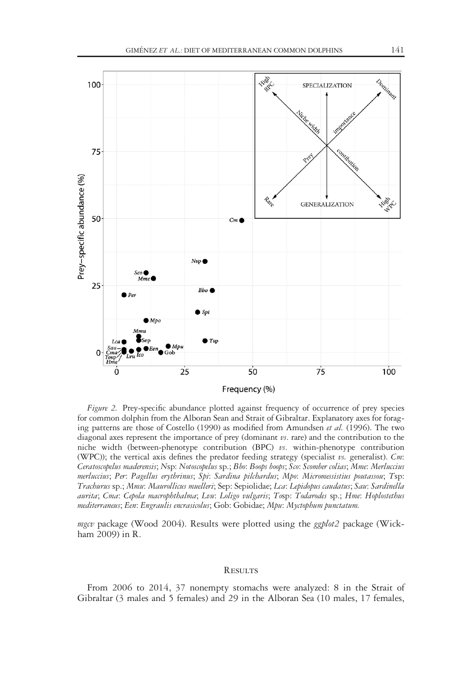

Figure 2. Prey-specific abundance plotted against frequency of occurrence of prey species for common dolphin from the Alboran Sean and Strait of Gibraltar. Explanatory axes for foraging patterns are those of Costello (1990) as modified from Amundsen et al. (1996). The two diagonal axes represent the importance of prey (dominant  $\nu s$ . rare) and the contribution to the niche width (between-phenotype contribution (BPC)  $v_s$ . within-phenotype contribution (WPC)); the vertical axis defines the predator feeding strategy (specialist  $v$ s. generalist). Cm: Ceratoscopelus maderensis; Nsp: Notoscopelus sp.; Bbo: Boops boops; Sco: Scomber colias; Mme: Merluccius merluccius; Per: Pagellus erythrinus; Spi: Sardina pilchardus; Mpo: Micromessistius poutassou; Tsp: Trachurus sp.; Mmu: Maurollicus muelleri; Sep: Sepiolidae; Lca: Lepidopus caudatus; Sau: Sardinella aurita; Cma: Cepola macrophthalma; Lvu: Loligo vulgaris; Tosp: Todarodes sp.; Hme: Hoplostethus mediterraneus; Een: Engraulis encrasicolus; Gob: Gobidae; Mpu: Myctophum punctatum.

mgcv package (Wood 2004). Results were plotted using the  $ggplot2$  package (Wickham 2009) in R.

#### **RESULTS**

From 2006 to 2014, 37 nonempty stomachs were analyzed: 8 in the Strait of Gibraltar (3 males and 5 females) and 29 in the Alboran Sea (10 males, 17 females,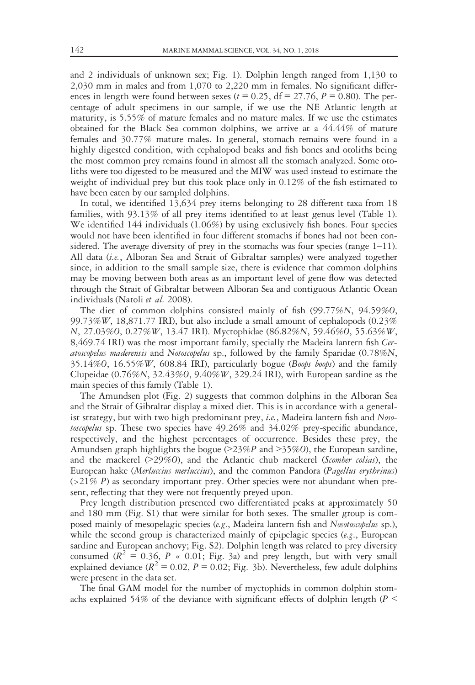and 2 individuals of unknown sex; Fig. 1). Dolphin length ranged from 1,130 to 2,030 mm in males and from 1,070 to 2,220 mm in females. No significant differences in length were found between sexes ( $t = 0.25$ , df = 27.76, P = 0.80). The percentage of adult specimens in our sample, if we use the NE Atlantic length at maturity, is 5.55% of mature females and no mature males. If we use the estimates obtained for the Black Sea common dolphins, we arrive at a 44.44% of mature females and 30.77% mature males. In general, stomach remains were found in a highly digested condition, with cephalopod beaks and fish bones and otoliths being the most common prey remains found in almost all the stomach analyzed. Some otoliths were too digested to be measured and the MIW was used instead to estimate the weight of individual prey but this took place only in 0.12% of the fish estimated to have been eaten by our sampled dolphins.

In total, we identified 13,634 prey items belonging to 28 different taxa from 18 families, with 93.13% of all prey items identified to at least genus level (Table 1). We identified 144 individuals (1.06%) by using exclusively fish bones. Four species would not have been identified in four different stomachs if bones had not been considered. The average diversity of prey in the stomachs was four species (range  $1-11$ ). All data (i.e., Alboran Sea and Strait of Gibraltar samples) were analyzed together since, in addition to the small sample size, there is evidence that common dolphins may be moving between both areas as an important level of gene flow was detected through the Strait of Gibraltar between Alboran Sea and contiguous Atlantic Ocean individuals (Natoli et al. 2008).

The diet of common dolphins consisted mainly of fish (99.77%N, 94.59%O, 99.73%W, 18,871.77 IRI), but also include a small amount of cephalopods (0.23% N, 27.03%O, 0.27%W, 13.47 IRI). Myctophidae (86.82%N, 59.46%O, 55.63%W, 8,469.74 IRI) was the most important family, specially the Madeira lantern fish Ceratoscopelus maderensis and Notoscopelus sp., followed by the family Sparidae (0.78%N, 35.14%O, 16.55%W, 608.84 IRI), particularly bogue (*Boops boops*) and the family Clupeidae  $(0.76\%N, 32.43\%O, 9.40\%W, 329.24 \text{ IRI})$ , with European sardine as the main species of this family (Table 1).

The Amundsen plot (Fig. 2) suggests that common dolphins in the Alboran Sea and the Strait of Gibraltar display a mixed diet. This is in accordance with a generalist strategy, but with two high predominant prey, i.e., Madeira lantern fish and  $N_{0.00}$ toscopelus sp. These two species have 49.26% and 34.02% prey-specific abundance, respectively, and the highest percentages of occurrence. Besides these prey, the Amundsen graph highlights the bogue ( $>23\%P$  and  $>35\%O$ ), the European sardine, and the mackerel  $(>29\%)$ , and the Atlantic chub mackerel (Scomber colias), the European hake (Merluccius merluccius), and the common Pandora (Pagellus erythrinus)  $(>21\% P)$  as secondary important prey. Other species were not abundant when present, reflecting that they were not frequently preyed upon.

Prey length distribution presented two differentiated peaks at approximately 50 and 180 mm (Fig. S1) that were similar for both sexes. The smaller group is composed mainly of mesopelagic species (e.g., Madeira lantern fish and Nosotoscopelus sp.), while the second group is characterized mainly of epipelagic species (e.g., European sardine and European anchovy; Fig. S2). Dolphin length was related to prey diversity consumed  $(R^2 = 0.36, P \times 0.01$ ; Fig. 3a) and prey length, but with very small explained deviance  $(R^2 = 0.02, P = 0.02;$  Fig. 3b). Nevertheless, few adult dolphins were present in the data set.

The final GAM model for the number of myctophids in common dolphin stomachs explained 54% of the deviance with significant effects of dolphin length ( $P$  <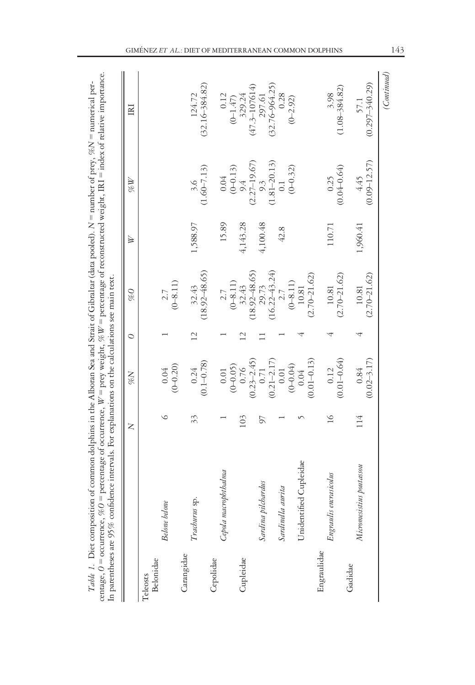| $(0.09 - 12.57)$<br>$0.04$<br>$(0-0.13)$<br>$9.4$<br>$(2.27-19.67)$<br>9.3<br>(1.81–20.13)<br>0.1<br>$(0 - 0.32)$<br>$\begin{array}{c} 3.6 \\ (1.60 - 7.13) \end{array}$<br>$0.25$<br>$(0.04 - 0.64)$<br>4.45<br>15.89<br>4,143.28<br>1,588.97<br>4,100.48<br>110.71<br>1,960.41<br>42.8<br>$29.73$<br>(16.22–43.24)<br>2.7<br>$32.43$<br>(18.92–48.65)<br>$32.43$<br>(18.92–48.65)<br>$(2.70 - 21.62)$<br>$(2.70 - 21.62)$<br>$(2.70 - 21.62)$<br>$(0 - 8.11)$<br>$\frac{2.7}{(0-8.11)}$<br>$\frac{2.7}{(0-8.11)}$<br>$10.81\,$<br>$10.81\,$<br>$10.81\,$<br>$\overline{12}$<br>$\overline{\mathbf{C}}$<br>$(0.02 - 3.17)$<br>$(0.76(0.23-2.45)0.71(0.21-2.17)$<br>$(0.01 - 0.13)$<br>$(0.01 - 0.64)$<br>$0.24$<br>(0.1-0.78)<br>$0.04$<br>(0-0.20)<br>$(0 - 0.04)$<br>$(0 - 0.05)$<br>0.12<br>0.84<br>$0.01\,$<br>$0.04\,$<br>$\circ$<br>$\geq$<br>114<br>33<br>103<br>50<br>Unidentified Cupleidae<br>Micromesistius poutassou<br>Cepola macrophthalma<br>Engraulis encrasicolus<br>Sardina pilchardus<br>Sardinella aurita<br>Trachurus sp.<br><b>Belone</b> belone<br>Engraulidae<br>Carangidae<br>Cupleidae<br>Cepolidae<br>Belonidae<br>Gadidae<br>Teleosts |  | Z | $N\%$ | $\circ$ | 9% | ∖ | MW. | IRI                        |
|--------------------------------------------------------------------------------------------------------------------------------------------------------------------------------------------------------------------------------------------------------------------------------------------------------------------------------------------------------------------------------------------------------------------------------------------------------------------------------------------------------------------------------------------------------------------------------------------------------------------------------------------------------------------------------------------------------------------------------------------------------------------------------------------------------------------------------------------------------------------------------------------------------------------------------------------------------------------------------------------------------------------------------------------------------------------------------------------------------------------------------------------------------------------|--|---|-------|---------|----|---|-----|----------------------------|
|                                                                                                                                                                                                                                                                                                                                                                                                                                                                                                                                                                                                                                                                                                                                                                                                                                                                                                                                                                                                                                                                                                                                                                    |  |   |       |         |    |   |     |                            |
|                                                                                                                                                                                                                                                                                                                                                                                                                                                                                                                                                                                                                                                                                                                                                                                                                                                                                                                                                                                                                                                                                                                                                                    |  |   |       |         |    |   |     |                            |
|                                                                                                                                                                                                                                                                                                                                                                                                                                                                                                                                                                                                                                                                                                                                                                                                                                                                                                                                                                                                                                                                                                                                                                    |  |   |       |         |    |   |     |                            |
|                                                                                                                                                                                                                                                                                                                                                                                                                                                                                                                                                                                                                                                                                                                                                                                                                                                                                                                                                                                                                                                                                                                                                                    |  |   |       |         |    |   |     | $124.72$<br>(32.16-384.82) |
|                                                                                                                                                                                                                                                                                                                                                                                                                                                                                                                                                                                                                                                                                                                                                                                                                                                                                                                                                                                                                                                                                                                                                                    |  |   |       |         |    |   |     |                            |
|                                                                                                                                                                                                                                                                                                                                                                                                                                                                                                                                                                                                                                                                                                                                                                                                                                                                                                                                                                                                                                                                                                                                                                    |  |   |       |         |    |   |     | 0.12<br>$(0 - 1.47)$       |
|                                                                                                                                                                                                                                                                                                                                                                                                                                                                                                                                                                                                                                                                                                                                                                                                                                                                                                                                                                                                                                                                                                                                                                    |  |   |       |         |    |   |     | $329.24$<br>(47.3-107614)  |
|                                                                                                                                                                                                                                                                                                                                                                                                                                                                                                                                                                                                                                                                                                                                                                                                                                                                                                                                                                                                                                                                                                                                                                    |  |   |       |         |    |   |     | 297.61                     |
|                                                                                                                                                                                                                                                                                                                                                                                                                                                                                                                                                                                                                                                                                                                                                                                                                                                                                                                                                                                                                                                                                                                                                                    |  |   |       |         |    |   |     |                            |
|                                                                                                                                                                                                                                                                                                                                                                                                                                                                                                                                                                                                                                                                                                                                                                                                                                                                                                                                                                                                                                                                                                                                                                    |  |   |       |         |    |   |     | $(32.76 - 964.25)$<br>0.28 |
|                                                                                                                                                                                                                                                                                                                                                                                                                                                                                                                                                                                                                                                                                                                                                                                                                                                                                                                                                                                                                                                                                                                                                                    |  |   |       |         |    |   |     | $(0 - 2.92)$               |
|                                                                                                                                                                                                                                                                                                                                                                                                                                                                                                                                                                                                                                                                                                                                                                                                                                                                                                                                                                                                                                                                                                                                                                    |  |   |       |         |    |   |     |                            |
|                                                                                                                                                                                                                                                                                                                                                                                                                                                                                                                                                                                                                                                                                                                                                                                                                                                                                                                                                                                                                                                                                                                                                                    |  |   |       |         |    |   |     |                            |
|                                                                                                                                                                                                                                                                                                                                                                                                                                                                                                                                                                                                                                                                                                                                                                                                                                                                                                                                                                                                                                                                                                                                                                    |  |   |       |         |    |   |     |                            |
|                                                                                                                                                                                                                                                                                                                                                                                                                                                                                                                                                                                                                                                                                                                                                                                                                                                                                                                                                                                                                                                                                                                                                                    |  |   |       |         |    |   |     | $3.98$<br>(1.08-384.82)    |
|                                                                                                                                                                                                                                                                                                                                                                                                                                                                                                                                                                                                                                                                                                                                                                                                                                                                                                                                                                                                                                                                                                                                                                    |  |   |       |         |    |   |     | 57.1                       |
|                                                                                                                                                                                                                                                                                                                                                                                                                                                                                                                                                                                                                                                                                                                                                                                                                                                                                                                                                                                                                                                                                                                                                                    |  |   |       |         |    |   |     | $(0.297 - 340.29)$         |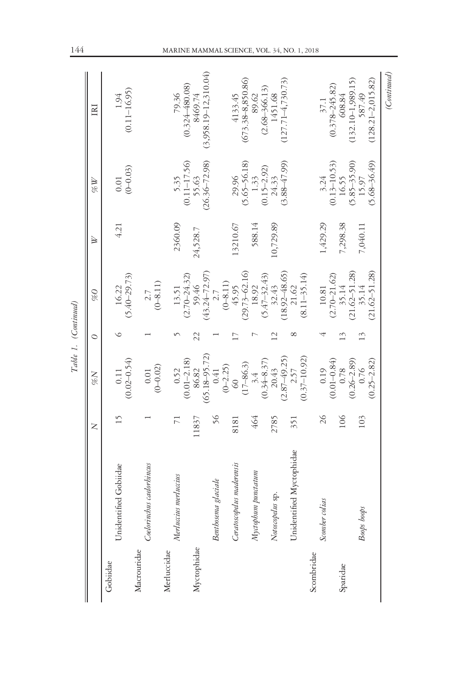|             |                              |                | Table 1. (Continued)                                  |                 |                                                 |           |                                               |                                                           |
|-------------|------------------------------|----------------|-------------------------------------------------------|-----------------|-------------------------------------------------|-----------|-----------------------------------------------|-----------------------------------------------------------|
|             |                              | $\geq$         | $N\%$                                                 | $\circ$         | 9%                                              | ⋟         | MW.                                           | E                                                         |
| Gobiidae    | Unidentified Gobiidae        | 15             | $(0.02 - 0.54)$<br>0.11                               | ७               | $(5.40 - 29.73)$<br>16.22                       | 4.21      | $0.01$<br>(0-0.03)                            | $(0.11 - 16.95)$<br>1.94                                  |
| Macrouridae | caelorbincus<br>Coelorinchus |                | $(0 - 0.02)$<br>$0.01\,$                              |                 | $(0 - 8.11)$<br>2.7                             |           |                                               |                                                           |
| Merluccidae | Merluccius merluccius        | $\overline{7}$ | 0.52                                                  |                 | 13.51                                           | 2360.09   | $5.35$<br>(0.11–17.56)                        | $79.36$<br>$(0.324-480.08)$                               |
| Myctophidae |                              | 11837          | $(65.18 - 95.72)$<br>0.41<br>$(0.01 - 2.18)$<br>86.82 | 22              | $(43.24 - 72.97)$<br>$(2.70 - 24.32)$<br>59.46  | 24,528.7  | $(26.36 - 72.98)$<br>55.63                    | $(3,958.19 - 12,310.04)$<br>8469.74                       |
|             | Benthosema glaciale          | 56             | $(0 - 2.25)$                                          |                 | $(0 - 8.11)$<br>2.7                             |           |                                               |                                                           |
|             | Ceratoscopelus maderensis    | 8181           | $rac{1}{60}$                                          |                 | $(29.73 - 62.16)$<br>45.95                      | 13210.67  | $(5.65 - 56.18)$<br>29.96                     | $(673.38 - 8,850.86)$<br>4133.45                          |
|             | Myctophum punctatum          | 464            | $(0.34 - 8.37)$<br>$(17-86.3)$<br>$3.4$               |                 | $(5.47 - 32.43)$<br>18.92                       | 588.14    | $(0.15 - 2.92)$<br>1.33                       | $(2.68 - 366.13)$<br>89.62                                |
|             | Notoscopelus sp.             | 2785           | $(2.87 - 49.25)$<br>20.43                             | $\overline{12}$ | $(18.92 - 48.65)$<br>32.43                      | 10,729.89 | $(3.88 - 47.99)$<br>24.33                     | $(127.71 - 4, 730.73)$<br>1451.68                         |
|             | Unidentified Myctophidae     | 351            | $(0.37 - 10.92)$<br>2.57                              |                 | $(8.11 - 35.14)$<br>21.62                       |           |                                               |                                                           |
| Scombridae  | Scomber colias               | 26             | 0.19                                                  |                 | $10.81\,$                                       | 1,429.29  | 3.24                                          | 37.1                                                      |
| Sparidae    |                              | 106            | $(0.01 - 0.84)$<br>0.78                               | 13              | $(2.70 - 21.62)$<br>35.14                       | 7,298.38  | $(0.13 - 10.53)$<br>16.55                     | $(0.378 - 245.82)$<br>608.84                              |
|             | Boops boops                  | 103            | $(0.26 - 2.89)$<br>$(0.25 - 2.82)$<br>0.76            | 13              | $(21.62 - 51.28)$<br>$(21.62 - 51.28)$<br>35.14 | 7,040.11  | $(5.85 - 35.90)$<br>$(5.68 - 36.49)$<br>15.97 | $(128.21 - 2, 015.82)$<br>$(132.10 - 1,989.15)$<br>587.49 |
|             |                              |                |                                                       |                 |                                                 |           |                                               | (Continued)                                               |

### 144 MARINE MAMMAL SCIENCE, VOL. 34, NO. 1, 2018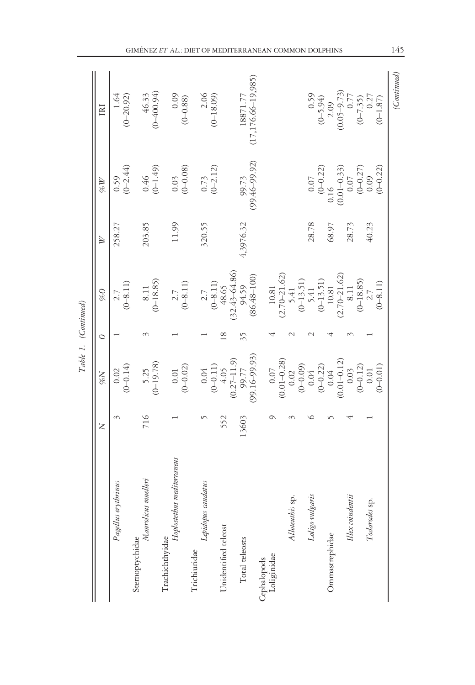|                                    |        |                                                                                                                                                                                                                                                                                                                        |         | Table 1. (Continued)                                                                                                                                                         |              |                                                                                                                                |                                           |
|------------------------------------|--------|------------------------------------------------------------------------------------------------------------------------------------------------------------------------------------------------------------------------------------------------------------------------------------------------------------------------|---------|------------------------------------------------------------------------------------------------------------------------------------------------------------------------------|--------------|--------------------------------------------------------------------------------------------------------------------------------|-------------------------------------------|
|                                    | $\geq$ | $N\%$                                                                                                                                                                                                                                                                                                                  | $\circ$ | $\mathcal{O}\mathcal{A}$                                                                                                                                                     | $\mathbb{R}$ | $\mathcal{U}\mathcal{U}$                                                                                                       | IRI                                       |
| Pagellus erythrinus                |        | $(0 - 0.14)$<br>0.02                                                                                                                                                                                                                                                                                                   |         | $(0 - 8.11)$<br>2.7                                                                                                                                                          | 258.27       | $0.59$<br>(0-2.44)                                                                                                             | $(0 - 20.92)$<br>- 94                     |
| Sternoptychidae                    |        |                                                                                                                                                                                                                                                                                                                        |         |                                                                                                                                                                              |              |                                                                                                                                |                                           |
| Maurolicus muelleri                | 716    | $5.25$<br>(0-19.78)                                                                                                                                                                                                                                                                                                    |         | $8.11$<br>(0-18.85)                                                                                                                                                          | 203.85       | $0.46$<br>(0-1.49)                                                                                                             | $46.33$<br>(0-400.94)                     |
| Trachichthyidae                    |        |                                                                                                                                                                                                                                                                                                                        |         |                                                                                                                                                                              |              |                                                                                                                                |                                           |
| mediterraneus<br>$H\phi$ lostetbus |        | $(0-0.01)$                                                                                                                                                                                                                                                                                                             |         | $\frac{2.7}{(0-8.11)}$                                                                                                                                                       | 11.99        | $0.03$<br>(0-0.08)                                                                                                             | $(0.09)$<br>(0-0.88)                      |
|                                    |        |                                                                                                                                                                                                                                                                                                                        |         |                                                                                                                                                                              |              |                                                                                                                                |                                           |
| Lepidopus caudatus<br>Trichiuridae |        |                                                                                                                                                                                                                                                                                                                        |         |                                                                                                                                                                              | 320.55       |                                                                                                                                |                                           |
|                                    |        | $\begin{array}{c} 0.04 \\ (0-0.11) \\ (0.2-11.9) \\ (0.27-11.9) \\ (99.17 \\ (99.16-99.93) \end{array}$                                                                                                                                                                                                                |         | $(0-8.11)$<br>$(0-8.11)$<br>48.65<br>(32.43-64.86)<br>94.53                                                                                                                  |              | $0.73$<br>(0-2.12)                                                                                                             | $2.06$<br>(0-18.09)                       |
| Unidentified teleost               | 552    |                                                                                                                                                                                                                                                                                                                        | 18      |                                                                                                                                                                              |              |                                                                                                                                |                                           |
|                                    |        |                                                                                                                                                                                                                                                                                                                        |         |                                                                                                                                                                              |              |                                                                                                                                |                                           |
| Total teleosts                     | 13603  |                                                                                                                                                                                                                                                                                                                        | 35      |                                                                                                                                                                              | ,3976.32     | 99.73                                                                                                                          | 18871.77                                  |
|                                    |        |                                                                                                                                                                                                                                                                                                                        |         | $(86.48 - 100)$                                                                                                                                                              |              | 99.46-99.92)                                                                                                                   | $(17, 176.66 - 19, 985)$                  |
| Cephalopods                        |        |                                                                                                                                                                                                                                                                                                                        |         |                                                                                                                                                                              |              |                                                                                                                                |                                           |
| Loliginidae                        |        |                                                                                                                                                                                                                                                                                                                        |         |                                                                                                                                                                              |              |                                                                                                                                |                                           |
|                                    |        |                                                                                                                                                                                                                                                                                                                        |         |                                                                                                                                                                              |              |                                                                                                                                |                                           |
| Alloteuthis sp.                    |        | $\begin{array}{c} 0.07 \\ 0.01 - 0.28) \\ 0.02 \\ (0 - 0.09) \\ (0 - 0.32) \\ (0 - 0.22) \\ (0.04) \\ (0.01 - 0.12) \\ (0.01 - 0.12) \\ (0.01 - 0.12) \\ (0 - 0.12) \\ (0 - 0.12) \\ (0 - 0.12) \\ (0 - 0.12) \\ (0 - 0.12) \\ (0 - 0.12) \\ (0 - 0.12) \\ (0 - 0.12) \\ (0 - 0.12) \\ (0 - 0.12) \\ (0 - 0.12) \\ (0$ |         | $\begin{array}{c} 10.81 \\ (2.70\hbox{--}21.62) \\ 5.41 \\ (0\hbox{--}13.51) \\ 5.41 \\ (0\hbox{--}13.51) \\ (0\hbox{--}13.51) \\ (0\hbox{--}13.51) \\ 10.81 \\ \end{array}$ |              |                                                                                                                                |                                           |
|                                    |        |                                                                                                                                                                                                                                                                                                                        |         |                                                                                                                                                                              |              |                                                                                                                                |                                           |
| Loligo vulgaris                    |        |                                                                                                                                                                                                                                                                                                                        |         |                                                                                                                                                                              | 28.78        | $\begin{array}{c} 0.07 \\ (0-0.22) \\ 0.16 \\ (0.01-0.33) \\ 0.07 \\ (0-0.27) \\ (0-0.27) \\ (0-0.22) \\ (0-0.22) \end{array}$ | 0.59                                      |
|                                    |        |                                                                                                                                                                                                                                                                                                                        |         |                                                                                                                                                                              |              |                                                                                                                                |                                           |
| Ommastrephidae                     |        |                                                                                                                                                                                                                                                                                                                        |         |                                                                                                                                                                              | 68.97        |                                                                                                                                | $(0-5.94)$<br>2.09                        |
|                                    |        |                                                                                                                                                                                                                                                                                                                        |         |                                                                                                                                                                              |              |                                                                                                                                |                                           |
| Illex coindentii                   |        |                                                                                                                                                                                                                                                                                                                        |         | $(2.70-21.62)$ $8.11$                                                                                                                                                        | 28.73        |                                                                                                                                | $(0.05-9.73)$<br>0.77<br>(0-7.35)<br>0.27 |
|                                    |        |                                                                                                                                                                                                                                                                                                                        |         | $(0 - 18.85)$                                                                                                                                                                |              |                                                                                                                                |                                           |
| Todarodes sp.                      |        | $0.01$                                                                                                                                                                                                                                                                                                                 |         |                                                                                                                                                                              | 40.23        |                                                                                                                                |                                           |
|                                    |        | $(0 - 0.01)$                                                                                                                                                                                                                                                                                                           |         | $(0 - 8.11)$                                                                                                                                                                 |              |                                                                                                                                | $(0 - 1.87)$                              |
|                                    |        |                                                                                                                                                                                                                                                                                                                        |         |                                                                                                                                                                              |              |                                                                                                                                | (Continued)                               |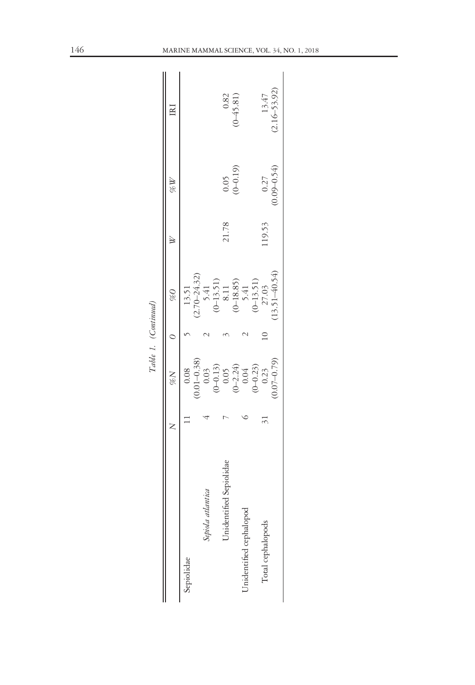|                         | $N\%$                                                                     | $\frac{\%}{\%}$<br>Table 1. (Continued)                                                                            |       | N%                    | Ē                         |
|-------------------------|---------------------------------------------------------------------------|--------------------------------------------------------------------------------------------------------------------|-------|-----------------------|---------------------------|
| Sepiolidae              |                                                                           | 13.51                                                                                                              |       |                       |                           |
| antica<br>Sepiola atl   |                                                                           |                                                                                                                    |       |                       |                           |
| Jnidentified Sepiolidae |                                                                           |                                                                                                                    | 21.78 | $(0.05$<br>(0-0.19)   | $(0.82)$<br>(0-45.81)     |
| Unidentified cephalopod | 0.08<br>0.01–0.38)<br>0.03<br>0.03<br>0.05<br>0.2.24)<br>0.04<br>0.02.33) | $(2.70-24.32)$<br>$5.41$<br>$(0-13.51)$<br>$8.11$<br>$(0-18.85)$<br>$5.41$<br>$5.41$<br>$(0-13.51)$<br>$(0-13.51)$ |       |                       |                           |
| Total cephalopods       | $0.07 - 0.79$<br>0.23                                                     | 13.51-40.54)                                                                                                       | 19.53 | $0.09 - 0.54$<br>0.27 | $(2.16 - 53.92)$<br>13.47 |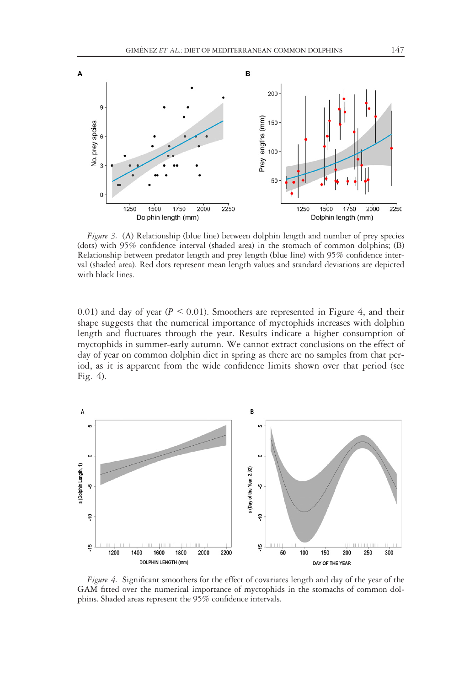

Figure 3. (A) Relationship (blue line) between dolphin length and number of prey species (dots) with 95% confidence interval (shaded area) in the stomach of common dolphins; (B) Relationship between predator length and prey length (blue line) with 95% confidence interval (shaded area). Red dots represent mean length values and standard deviations are depicted with black lines.

0.01) and day of year ( $P \le 0.01$ ). Smoothers are represented in Figure 4, and their shape suggests that the numerical importance of myctophids increases with dolphin length and fluctuates through the year. Results indicate a higher consumption of myctophids in summer-early autumn. We cannot extract conclusions on the effect of day of year on common dolphin diet in spring as there are no samples from that period, as it is apparent from the wide confidence limits shown over that period (see Fig. 4).



Figure 4. Significant smoothers for the effect of covariates length and day of the year of the GAM fitted over the numerical importance of myctophids in the stomachs of common dolphins. Shaded areas represent the 95% confidence intervals.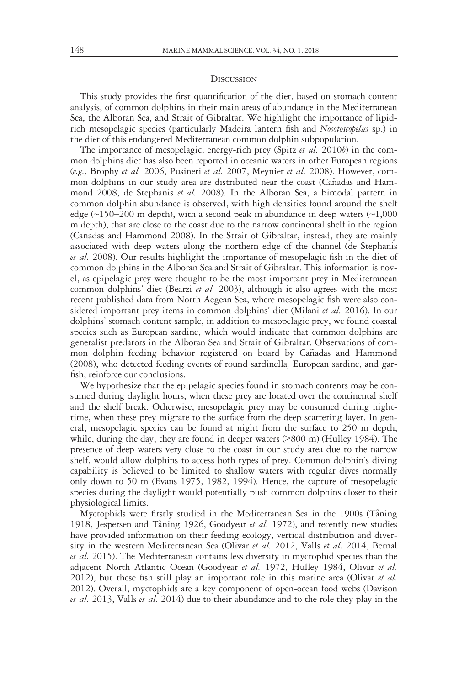#### **DISCUSSION**

This study provides the first quantification of the diet, based on stomach content analysis, of common dolphins in their main areas of abundance in the Mediterranean Sea, the Alboran Sea, and Strait of Gibraltar. We highlight the importance of lipidrich mesopelagic species (particularly Madeira lantern fish and Nosotoscopelus sp.) in the diet of this endangered Mediterranean common dolphin subpopulation.

The importance of mesopelagic, energy-rich prey (Spitz et al. 2010b) in the common dolphins diet has also been reported in oceanic waters in other European regions (e.g., Brophy et al. 2006, Pusineri et al. 2007, Meynier et al. 2008). However, common dolphins in our study area are distributed near the coast (Cañadas and Hammond 2008, de Stephanis et al. 2008). In the Alboran Sea, a bimodal pattern in common dolphin abundance is observed, with high densities found around the shelf edge (~150–200 m depth), with a second peak in abundance in deep waters (~1,000 m depth), that are close to the coast due to the narrow continental shelf in the region (Cañadas and Hammond 2008). In the Strait of Gibraltar, instead, they are mainly associated with deep waters along the northern edge of the channel (de Stephanis et al. 2008). Our results highlight the importance of mesopelagic fish in the diet of common dolphins in the Alboran Sea and Strait of Gibraltar. This information is novel, as epipelagic prey were thought to be the most important prey in Mediterranean common dolphins' diet (Bearzi *et al.* 2003), although it also agrees with the most recent published data from North Aegean Sea, where mesopelagic fish were also considered important prey items in common dolphins' diet (Milani et al. 2016). In our dolphins' stomach content sample, in addition to mesopelagic prey, we found coastal species such as European sardine, which would indicate that common dolphins are generalist predators in the Alboran Sea and Strait of Gibraltar. Observations of common dolphin feeding behavior registered on board by Cañadas and Hammond (2008), who detected feeding events of round sardinella, European sardine, and garfish, reinforce our conclusions.

We hypothesize that the epipelagic species found in stomach contents may be consumed during daylight hours, when these prey are located over the continental shelf and the shelf break. Otherwise, mesopelagic prey may be consumed during nighttime, when these prey migrate to the surface from the deep scattering layer. In general, mesopelagic species can be found at night from the surface to 250 m depth, while, during the day, they are found in deeper waters (>800 m) (Hulley 1984). The presence of deep waters very close to the coast in our study area due to the narrow shelf, would allow dolphins to access both types of prey. Common dolphin's diving capability is believed to be limited to shallow waters with regular dives normally only down to 50 m (Evans 1975, 1982, 1994). Hence, the capture of mesopelagic species during the daylight would potentially push common dolphins closer to their physiological limits.

Myctophids were firstly studied in the Mediterranean Sea in the 1900s (Taning 1918, Jespersen and Taning 1926, Goodyear et al. 1972), and recently new studies have provided information on their feeding ecology, vertical distribution and diversity in the western Mediterranean Sea (Olivar et al. 2012, Valls et al. 2014, Bernal et al. 2015). The Mediterranean contains less diversity in myctophid species than the adjacent North Atlantic Ocean (Goodyear et al. 1972, Hulley 1984, Olivar et al. 2012), but these fish still play an important role in this marine area (Olivar et al. 2012). Overall, myctophids are a key component of open-ocean food webs (Davison et al. 2013, Valls et al. 2014) due to their abundance and to the role they play in the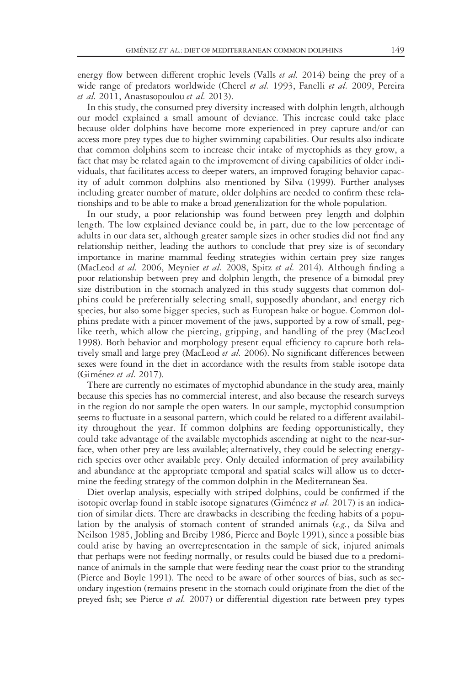energy flow between different trophic levels (Valls *et al.* 2014) being the prey of a wide range of predators worldwide (Cherel et al. 1993, Fanelli et al. 2009, Pereira et al. 2011, Anastasopoulou et al. 2013).

In this study, the consumed prey diversity increased with dolphin length, although our model explained a small amount of deviance. This increase could take place because older dolphins have become more experienced in prey capture and/or can access more prey types due to higher swimming capabilities. Our results also indicate that common dolphins seem to increase their intake of myctophids as they grow, a fact that may be related again to the improvement of diving capabilities of older individuals, that facilitates access to deeper waters, an improved foraging behavior capacity of adult common dolphins also mentioned by Silva (1999). Further analyses including greater number of mature, older dolphins are needed to confirm these relationships and to be able to make a broad generalization for the whole population.

In our study, a poor relationship was found between prey length and dolphin length. The low explained deviance could be, in part, due to the low percentage of adults in our data set, although greater sample sizes in other studies did not find any relationship neither, leading the authors to conclude that prey size is of secondary importance in marine mammal feeding strategies within certain prey size ranges (MacLeod et al. 2006, Meynier et al. 2008, Spitz et al. 2014). Although finding a poor relationship between prey and dolphin length, the presence of a bimodal prey size distribution in the stomach analyzed in this study suggests that common dolphins could be preferentially selecting small, supposedly abundant, and energy rich species, but also some bigger species, such as European hake or bogue. Common dolphins predate with a pincer movement of the jaws, supported by a row of small, peglike teeth, which allow the piercing, gripping, and handling of the prey (MacLeod 1998). Both behavior and morphology present equal efficiency to capture both relatively small and large prey (MacLeod et al. 2006). No significant differences between sexes were found in the diet in accordance with the results from stable isotope data (Giménez et al. 2017).

There are currently no estimates of myctophid abundance in the study area, mainly because this species has no commercial interest, and also because the research surveys in the region do not sample the open waters. In our sample, myctophid consumption seems to fluctuate in a seasonal pattern, which could be related to a different availability throughout the year. If common dolphins are feeding opportunistically, they could take advantage of the available myctophids ascending at night to the near-surface, when other prey are less available; alternatively, they could be selecting energyrich species over other available prey. Only detailed information of prey availability and abundance at the appropriate temporal and spatial scales will allow us to determine the feeding strategy of the common dolphin in the Mediterranean Sea.

Diet overlap analysis, especially with striped dolphins, could be confirmed if the isotopic overlap found in stable isotope signatures (Giménez et al. 2017) is an indication of similar diets. There are drawbacks in describing the feeding habits of a population by the analysis of stomach content of stranded animals (e.g., da Silva and Neilson 1985, Jobling and Breiby 1986, Pierce and Boyle 1991), since a possible bias could arise by having an overrepresentation in the sample of sick, injured animals that perhaps were not feeding normally, or results could be biased due to a predominance of animals in the sample that were feeding near the coast prior to the stranding (Pierce and Boyle 1991). The need to be aware of other sources of bias, such as secondary ingestion (remains present in the stomach could originate from the diet of the preyed fish; see Pierce et al. 2007) or differential digestion rate between prey types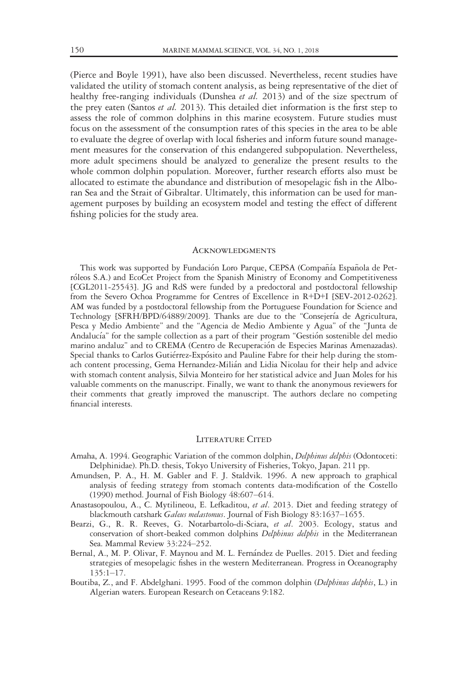(Pierce and Boyle 1991), have also been discussed. Nevertheless, recent studies have validated the utility of stomach content analysis, as being representative of the diet of healthy free-ranging individuals (Dunshea et al. 2013) and of the size spectrum of the prey eaten (Santos et al. 2013). This detailed diet information is the first step to assess the role of common dolphins in this marine ecosystem. Future studies must focus on the assessment of the consumption rates of this species in the area to be able to evaluate the degree of overlap with local fisheries and inform future sound management measures for the conservation of this endangered subpopulation. Nevertheless, more adult specimens should be analyzed to generalize the present results to the whole common dolphin population. Moreover, further research efforts also must be allocated to estimate the abundance and distribution of mesopelagic fish in the Alboran Sea and the Strait of Gibraltar. Ultimately, this information can be used for management purposes by building an ecosystem model and testing the effect of different fishing policies for the study area.

#### **ACKNOWLEDGMENTS**

This work was supported by Fundación Loro Parque, CEPSA (Compañía Española de Petróleos S.A.) and EcoCet Project from the Spanish Ministry of Economy and Competitiveness [CGL2011-25543]. JG and RdS were funded by a predoctoral and postdoctoral fellowship from the Severo Ochoa Programme for Centres of Excellence in R+D+I [SEV-2012-0262]. AM was funded by a postdoctoral fellowship from the Portuguese Foundation for Science and Technology [SFRH/BPD/64889/2009]. Thanks are due to the "Consejería de Agricultura, Pesca y Medio Ambiente" and the "Agencia de Medio Ambiente y Agua" of the "Junta de Andalucía" for the sample collection as a part of their program "Gestión sostenible del medio marino andaluz" and to CREMA (Centro de Recuperacion de Especies Marinas Amenazadas). Special thanks to Carlos Gutierrez-Exposito and Pauline Fabre for their help during the stomach content processing, Gema Hernandez-Milian and Lidia Nicolau for their help and advice with stomach content analysis, Silvia Monteiro for her statistical advice and Juan Moles for his valuable comments on the manuscript. Finally, we want to thank the anonymous reviewers for their comments that greatly improved the manuscript. The authors declare no competing financial interests.

#### LITERATURE CITED

- Amaha, A. 1994. Geographic Variation of the common dolphin, *Delphinus delphis* (Odontoceti: Delphinidae). Ph.D. thesis, Tokyo University of Fisheries, Tokyo, Japan. 211 pp.
- Amundsen, P. A., H. M. Gabler and F. J. Staldvik. 1996. A new approach to graphical analysis of feeding strategy from stomach contents data-modification of the Costello (1990) method. Journal of Fish Biology 48:607–614.
- Anastasopoulou, A., C. Mytilineou, E. Lefkaditou, et al. 2013. Diet and feeding strategy of blackmouth catshark Galeus melastomus. Journal of Fish Biology 83:1637-1655.
- Bearzi, G., R. R. Reeves, G. Notarbartolo-di-Sciara, et al. 2003. Ecology, status and conservation of short-beaked common dolphins Delphinus delphis in the Mediterranean Sea. Mammal Review 33:224–252.
- Bernal, A., M. P. Olivar, F. Maynou and M. L. Fernandez de Puelles. 2015. Diet and feeding strategies of mesopelagic fishes in the western Mediterranean. Progress in Oceanography 135:1–17.
- Boutiba, Z., and F. Abdelghani. 1995. Food of the common dolphin (Delphinus delphis, L.) in Algerian waters. European Research on Cetaceans 9:182.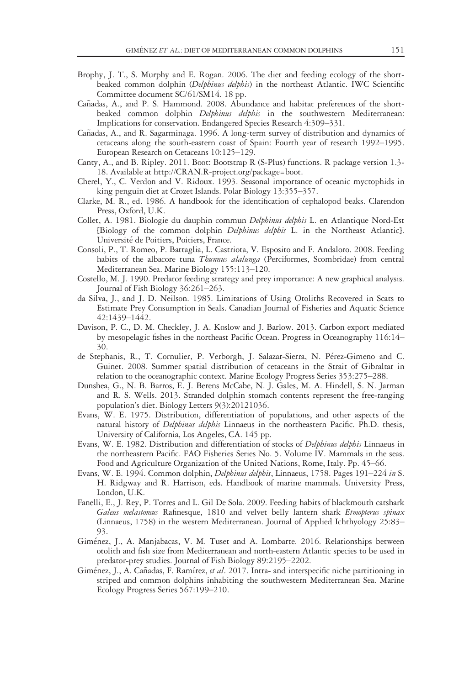- Brophy, J. T., S. Murphy and E. Rogan. 2006. The diet and feeding ecology of the shortbeaked common dolphin (Delphinus delphis) in the northeast Atlantic. IWC Scientific Committee document SC/61/SM14. 18 pp.
- Cañadas, A., and P. S. Hammond. 2008. Abundance and habitat preferences of the shortbeaked common dolphin Delphinus delphis in the southwestern Mediterranean: Implications for conservation. Endangered Species Research 4:309–331.
- Cañadas, A., and R. Sagarminaga. 1996. A long-term survey of distribution and dynamics of cetaceans along the south-eastern coast of Spain: Fourth year of research 1992–1995. European Research on Cetaceans 10:125–129.
- Canty, A., and B. Ripley. 2011. Boot: Bootstrap R (S-Plus) functions. R package version 1.3- 18. Available at [http://CRAN.R-project.org/package=boot.](http://CRAN.R-project.org/package=boot)
- Cherel, Y., C. Verdon and V. Ridoux. 1993. Seasonal importance of oceanic myctophids in king penguin diet at Crozet Islands. Polar Biology 13:355–357.
- Clarke, M. R., ed. 1986. A handbook for the identification of cephalopod beaks. Clarendon Press, Oxford, U.K.
- Collet, A. 1981. Biologie du dauphin commun Delphinus delphis L. en Atlantique Nord-Est [Biology of the common dolphin Delphinus delphis L. in the Northeast Atlantic]. Universite de Poitiers, Poitiers, France.
- Consoli, P., T. Romeo, P. Battaglia, L. Castriota, V. Esposito and F. Andaloro. 2008. Feeding habits of the albacore tuna Thunnus alalunga (Perciformes, Scombridae) from central Mediterranean Sea. Marine Biology 155:113–120.
- Costello, M. J. 1990. Predator feeding strategy and prey importance: A new graphical analysis. Journal of Fish Biology 36:261–263.
- da Silva, J., and J. D. Neilson. 1985. Limitations of Using Otoliths Recovered in Scats to Estimate Prey Consumption in Seals. Canadian Journal of Fisheries and Aquatic Science 42:1439–1442.
- Davison, P. C., D. M. Checkley, J. A. Koslow and J. Barlow. 2013. Carbon export mediated by mesopelagic fishes in the northeast Pacific Ocean. Progress in Oceanography 116:14– 30.
- de Stephanis, R., T. Cornulier, P. Verborgh, J. Salazar-Sierra, N. Perez-Gimeno and C. Guinet. 2008. Summer spatial distribution of cetaceans in the Strait of Gibraltar in relation to the oceanographic context. Marine Ecology Progress Series 353:275–288.
- Dunshea, G., N. B. Barros, E. J. Berens McCabe, N. J. Gales, M. A. Hindell, S. N. Jarman and R. S. Wells. 2013. Stranded dolphin stomach contents represent the free-ranging population's diet. Biology Letters 9(3):20121036.
- Evans, W. E. 1975. Distribution, differentiation of populations, and other aspects of the natural history of Delphinus delphis Linnaeus in the northeastern Pacific. Ph.D. thesis, University of California, Los Angeles, CA. 145 pp.
- Evans, W. E. 1982. Distribution and differentiation of stocks of *Delphinus delphis* Linnaeus in the northeastern Pacific. FAO Fisheries Series No. 5. Volume IV. Mammals in the seas. Food and Agriculture Organization of the United Nations, Rome, Italy. Pp. 45–66.
- Evans, W. E. 1994. Common dolphin, Delphinus delphis, Linnaeus, 1758. Pages 191-224 in S. H. Ridgway and R. Harrison, eds. Handbook of marine mammals. University Press, London, U.K.
- Fanelli, E., J. Rey, P. Torres and L. Gil De Sola. 2009. Feeding habits of blackmouth catshark Galeus melastomus Rafinesque, 1810 and velvet belly lantern shark Etmopterus spinax (Linnaeus, 1758) in the western Mediterranean. Journal of Applied Ichthyology 25:83– 93.
- Gimenez, J., A. Manjabacas, V. M. Tuset and A. Lombarte. 2016. Relationships between otolith and fish size from Mediterranean and north-eastern Atlantic species to be used in predator-prey studies. Journal of Fish Biology 89:2195–2202.
- Giménez, J., A. Cañadas, F. Ramírez, et al. 2017. Intra- and interspecific niche partitioning in striped and common dolphins inhabiting the southwestern Mediterranean Sea. Marine Ecology Progress Series 567:199–210.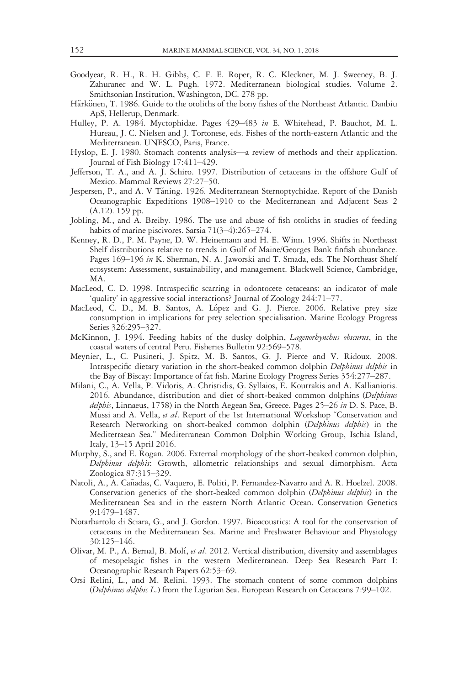- Goodyear, R. H., R. H. Gibbs, C. F. E. Roper, R. C. Kleckner, M. J. Sweeney, B. J. Zahuranec and W. L. Pugh. 1972. Mediterranean biological studies. Volume 2. Smithsonian Institution, Washington, DC. 278 pp.
- Härkönen, T. 1986. Guide to the otoliths of the bony fishes of the Northeast Atlantic. Danbiu ApS, Hellerup, Denmark.
- Hulley, P. A. 1984. Myctophidae. Pages 429–483 in E. Whitehead, P. Bauchot, M. L. Hureau, J. C. Nielsen and J. Tortonese, eds. Fishes of the north-eastern Atlantic and the Mediterranean. UNESCO, Paris, France.
- Hyslop, E. J. 1980. Stomach contents analysis—a review of methods and their application. Journal of Fish Biology 17:411–429.
- Jefferson, T. A., and A. J. Schiro. 1997. Distribution of cetaceans in the offshore Gulf of Mexico. Mammal Reviews 27:27–50.
- Jespersen, P., and A. V Taning. 1926. Mediterranean Sternoptychidae. Report of the Danish Oceanographic Expeditions 1908–1910 to the Mediterranean and Adjacent Seas 2 (A.12). 159 pp.
- Jobling, M., and A. Breiby. 1986. The use and abuse of fish otoliths in studies of feeding habits of marine piscivores. Sarsia 71(3–4):265–274.
- Kenney, R. D., P. M. Payne, D. W. Heinemann and H. E. Winn. 1996. Shifts in Northeast Shelf distributions relative to trends in Gulf of Maine/Georges Bank finfish abundance. Pages 169-196 in K. Sherman, N. A. Jaworski and T. Smada, eds. The Northeast Shelf ecosystem: Assessment, sustainability, and management. Blackwell Science, Cambridge, MA.
- MacLeod, C. D. 1998. Intraspecific scarring in odontocete cetaceans: an indicator of male 'quality' in aggressive social interactions? Journal of Zoology 244:71–77.
- MacLeod, C. D., M. B. Santos, A. López and G. J. Pierce. 2006. Relative prey size consumption in implications for prey selection specialisation. Marine Ecology Progress Series 326:295–327.
- McKinnon, J. 1994. Feeding habits of the dusky dolphin, Lagenorhynchus obscurus, in the coastal waters of central Peru. Fisheries Bulletin 92:569–578.
- Meynier, L., C. Pusineri, J. Spitz, M. B. Santos, G. J. Pierce and V. Ridoux. 2008. Intraspecific dietary variation in the short-beaked common dolphin Delphinus delphis in the Bay of Biscay: Importance of fat fish. Marine Ecology Progress Series 354:277–287.
- Milani, C., A. Vella, P. Vidoris, A. Christidis, G. Syllaios, E. Koutrakis and A. Kallianiotis. 2016. Abundance, distribution and diet of short-beaked common dolphins (Delphinus delphis, Linnaeus, 1758) in the North Aegean Sea, Greece. Pages 25-26 in D. S. Pace, B. Mussi and A. Vella, et al. Report of the 1st International Workshop "Conservation and Research Networking on short-beaked common dolphin (Delphinus delphis) in the Mediterraean Sea." Mediterranean Common Dolphin Working Group, Ischia Island, Italy, 13–15 April 2016.
- Murphy, S., and E. Rogan. 2006. External morphology of the short-beaked common dolphin, Delphinus delphis: Growth, allometric relationships and sexual dimorphism. Acta Zoologica 87:315–329.
- Natoli, A., A. Cañadas, C. Vaquero, E. Politi, P. Fernandez-Navarro and A. R. Hoelzel. 2008. Conservation genetics of the short-beaked common dolphin (Delphinus delphis) in the Mediterranean Sea and in the eastern North Atlantic Ocean. Conservation Genetics 9:1479–1487.
- Notarbartolo di Sciara, G., and J. Gordon. 1997. Bioacoustics: A tool for the conservation of cetaceans in the Mediterranean Sea. Marine and Freshwater Behaviour and Physiology 30:125–146.
- Olivar, M. P., A. Bernal, B. Molí, et al. 2012. Vertical distribution, diversity and assemblages of mesopelagic fishes in the western Mediterranean. Deep Sea Research Part I: Oceanographic Research Papers 62:53–69.
- Orsi Relini, L., and M. Relini. 1993. The stomach content of some common dolphins (Delphinus delphis L.) from the Ligurian Sea. European Research on Cetaceans 7:99–102.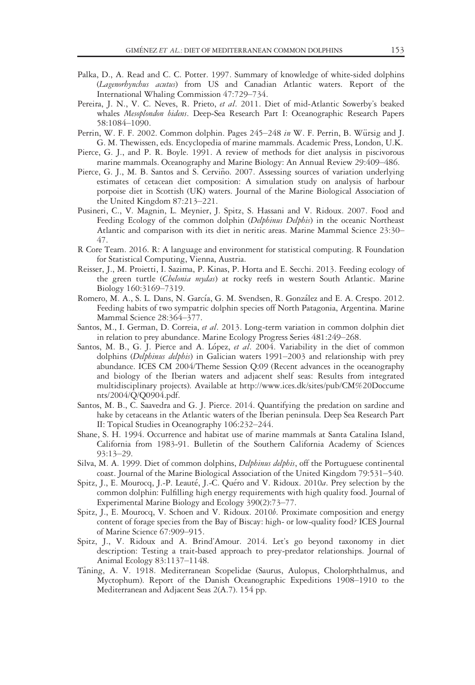- Palka, D., A. Read and C. C. Potter. 1997. Summary of knowledge of white-sided dolphins (Lagenorhynchus acutus) from US and Canadian Atlantic waters. Report of the International Whaling Commission 47:729–734.
- Pereira, J. N., V. C. Neves, R. Prieto, et al. 2011. Diet of mid-Atlantic Sowerby's beaked whales Mesoplondon bidens. Deep-Sea Research Part I: Oceanographic Research Papers 58:1084–1090.
- Perrin, W. F. F. 2002. Common dolphin. Pages 245–248 in W. F. Perrin, B. Würsig and J. G. M. Thewissen, eds. Encyclopedia of marine mammals. Academic Press, London, U.K.
- Pierce, G. J., and P. R. Boyle. 1991. A review of methods for diet analysis in piscivorous marine mammals. Oceanography and Marine Biology: An Annual Review 29:409–486.
- Pierce, G. J., M. B. Santos and S. Cerviño. 2007. Assessing sources of variation underlying estimates of cetacean diet composition: A simulation study on analysis of harbour porpoise diet in Scottish (UK) waters. Journal of the Marine Biological Association of the United Kingdom 87:213–221.
- Pusineri, C., V. Magnin, L. Meynier, J. Spitz, S. Hassani and V. Ridoux. 2007. Food and Feeding Ecology of the common dolphin (Delphinus Delphis) in the oceanic Northeast Atlantic and comparison with its diet in neritic areas. Marine Mammal Science 23:30– 47.
- R Core Team. 2016. R: A language and environment for statistical computing. R Foundation for Statistical Computing, Vienna, Austria.
- Reisser, J., M. Proietti, I. Sazima, P. Kinas, P. Horta and E. Secchi. 2013. Feeding ecology of the green turtle (Chelonia mydas) at rocky reefs in western South Atlantic. Marine Biology 160:3169–7319.
- Romero, M. A., S. L. Dans, N. Garcıa, G. M. Svendsen, R. Gonzalez and E. A. Crespo. 2012. Feeding habits of two sympatric dolphin species off North Patagonia, Argentina. Marine Mammal Science 28:364–377.
- Santos, M., I. German, D. Correia, et al. 2013. Long-term variation in common dolphin diet in relation to prey abundance. Marine Ecology Progress Series 481:249–268.
- Santos, M. B., G. J. Pierce and A. López, et al. 2004. Variability in the diet of common dolphins (Delphinus delphis) in Galician waters 1991-2003 and relationship with prey abundance. ICES CM 2004/Theme Session Q:09 (Recent advances in the oceanography and biology of the Iberian waters and adjacent shelf seas: Results from integrated multidisciplinary projects). Available at [http://www.ices.dk/sites/pub/CM%20Doccume](http://www.ices.dk/sites/pub/CM%20Doccuments/2004/Q/Q0904.pdf) [nts/2004/Q/Q0904.pdf](http://www.ices.dk/sites/pub/CM%20Doccuments/2004/Q/Q0904.pdf).
- Santos, M. B., C. Saavedra and G. J. Pierce. 2014. Quantifying the predation on sardine and hake by cetaceans in the Atlantic waters of the Iberian peninsula. Deep Sea Research Part II: Topical Studies in Oceanography 106:232–244.
- Shane, S. H. 1994. Occurrence and habitat use of marine mammals at Santa Catalina Island, California from 1983-91. Bulletin of the Southern California Academy of Sciences 93:13–29.
- Silva, M. A. 1999. Diet of common dolphins, *Delphinus delphis*, off the Portuguese continental coast. Journal of the Marine Biological Association of the United Kingdom 79:531–540.
- Spitz, J., E. Mourocq, J.-P. Leauté, J.-C. Quéro and V. Ridoux. 2010a. Prey selection by the common dolphin: Fulfilling high energy requirements with high quality food. Journal of Experimental Marine Biology and Ecology 390(2):73–77.
- Spitz, J., E. Mourocq, V. Schoen and V. Ridoux. 2010b. Proximate composition and energy content of forage species from the Bay of Biscay: high- or low-quality food? ICES Journal of Marine Science 67:909–915.
- Spitz, J., V. Ridoux and A. Brind'Amour. 2014. Let's go beyond taxonomy in diet description: Testing a trait-based approach to prey-predator relationships. Journal of Animal Ecology 83:1137–1148.
- Taning, A. V. 1918. Mediterranean Scopelidae (Saurus, Aulopus, Cholorphthalmus, and Myctophum). Report of the Danish Oceanographic Expeditions 1908–1910 to the Mediterranean and Adjacent Seas 2(A.7). 154 pp.